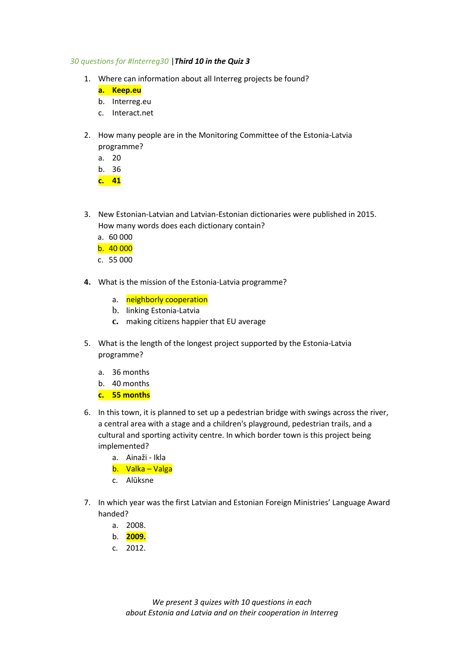## *30 questions for #Interreg30* |*Third 10 in the Quiz 3*

- 1. Where can information about all Interreg projects be found?
	- **a. Keep.eu**
	- b. Interreg.eu
	- c. Interact.net
- 2. How many people are in the Monitoring Committee of the Estonia-Latvia programme?
	- a. 20
	- b. 36

**c. 41**

- 3. New Estonian-Latvian and Latvian-Estonian dictionaries were published in 2015. How many words does each dictionary contain?
	- a. 60 000
	- b. 40 000
	- c. 55 000
- **4.** What is the mission of the Estonia-Latvia programme?
	- a. neighborly cooperation
	- b. linking Estonia-Latvia
	- **c.** making citizens happier that EU average
- 5. What is the length of the longest project supported by the Estonia-Latvia programme?
	- a. 36 months
	- b. 40 months
	- **c. 55 months**
- 6. In this town, it is planned to set up a pedestrian bridge with swings across the river, a central area with a stage and a children's playground, pedestrian trails, and a cultural and sporting activity centre. In which border town is this project being implemented?
	- a. Ainaži Ikla
	- b. Valka Valga
	- c. Alūksne
- 7. In which year was the first Latvian and Estonian Foreign Ministries' Language Award handed?
	- a. 2008.
	- b. **2009.**
	- c. 2012.